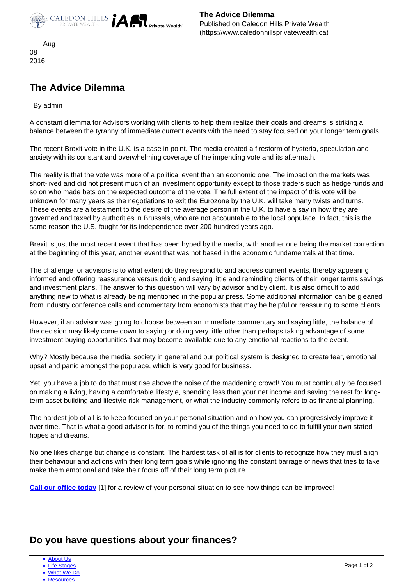

**The Advice Dilemma** Published on Caledon Hills Private Wealth (https://www.caledonhillsprivatewealth.ca)

 Aug 08 2016

## **The Advice Dilemma**

By admin

A constant dilemma for Advisors working with clients to help them realize their goals and dreams is striking a balance between the tyranny of immediate current events with the need to stay focused on your longer term goals.

The recent Brexit vote in the U.K. is a case in point. The media created a firestorm of hysteria, speculation and anxiety with its constant and overwhelming coverage of the impending vote and its aftermath.

The reality is that the vote was more of a political event than an economic one. The impact on the markets was short-lived and did not present much of an investment opportunity except to those traders such as hedge funds and so on who made bets on the expected outcome of the vote. The full extent of the impact of this vote will be unknown for many years as the negotiations to exit the Eurozone by the U.K. will take many twists and turns. These events are a testament to the desire of the average person in the U.K. to have a say in how they are governed and taxed by authorities in Brussels, who are not accountable to the local populace. In fact, this is the same reason the U.S. fought for its independence over 200 hundred years ago.

Brexit is just the most recent event that has been hyped by the media, with another one being the market correction at the beginning of this year, another event that was not based in the economic fundamentals at that time.

The challenge for advisors is to what extent do they respond to and address current events, thereby appearing informed and offering reassurance versus doing and saying little and reminding clients of their longer terms savings and investment plans. The answer to this question will vary by advisor and by client. It is also difficult to add anything new to what is already being mentioned in the popular press. Some additional information can be gleaned from industry conference calls and commentary from economists that may be helpful or reassuring to some clients.

However, if an advisor was going to choose between an immediate commentary and saying little, the balance of the decision may likely come down to saying or doing very little other than perhaps taking advantage of some investment buying opportunities that may become available due to any emotional reactions to the event.

Why? Mostly because the media, society in general and our political system is designed to create fear, emotional upset and panic amongst the populace, which is very good for business.

Yet, you have a job to do that must rise above the noise of the maddening crowd! You must continually be focused on making a living, having a comfortable lifestyle, spending less than your net income and saving the rest for longterm asset building and lifestyle risk management, or what the industry commonly refers to as financial planning.

The hardest job of all is to keep focused on your personal situation and on how you can progressively improve it over time. That is what a good advisor is for, to remind you of the things you need to do to fulfill your own stated hopes and dreams.

No one likes change but change is constant. The hardest task of all is for clients to recognize how they must align their behaviour and actions with their long term goals while ignoring the constant barrage of news that tries to take make them emotional and take their focus off of their long term picture.

**[Call our office today](https://www.caledonhillsprivatewealth.ca/contact-us)** [1] for a review of your personal situation to see how things can be improved!

## **Do you have questions about your finances?**

- [About Us](https://www.caledonhillsprivatewealth.ca/about-us)
- [Life Stages](https://www.caledonhillsprivatewealth.ca/life-stages)
- [What We Do](https://www.caledonhillsprivatewealth.ca/what-we-do)
- [Resources](https://www.caledonhillsprivatewealth.ca/resources)  $\sim$  [Contact](https://www.caledonhillsprivatewealth.ca/contact-us)  $\sim$